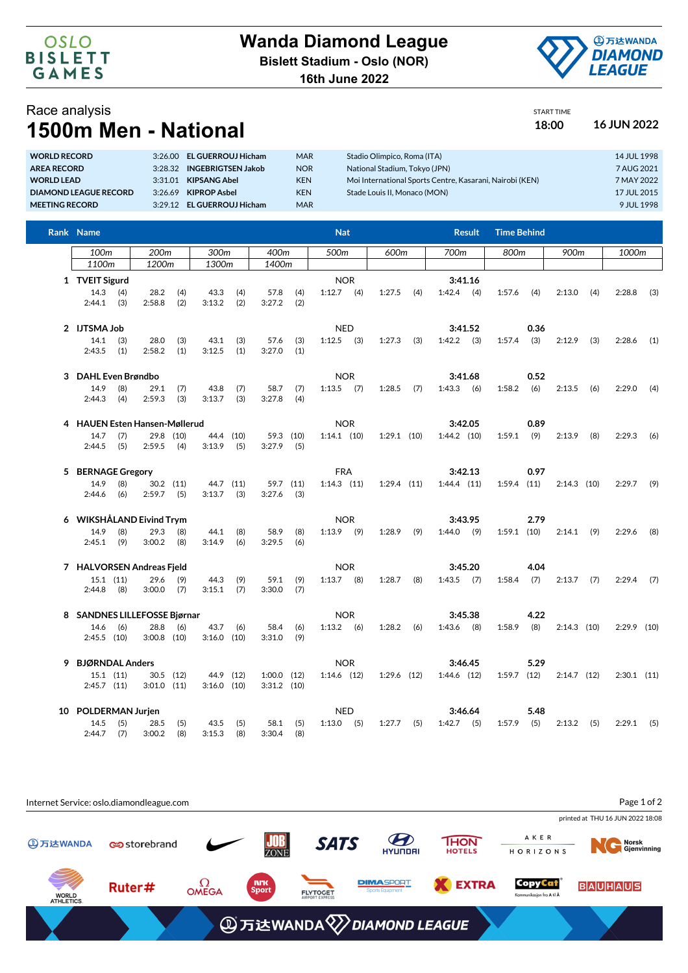**16th June 2022**



Race analysis **1500m Men - National 18:00 16 JUN 2022**

## START TIME

| <b>WORLD RECORD</b>          | 3:26.00 | <b>EL GUERROUJ Hicham</b> | <b>MAR</b> | Stadio Olimpico, Roma (ITA)                              | 14 JUL 1998 |
|------------------------------|---------|---------------------------|------------|----------------------------------------------------------|-------------|
| <b>AREA RECORD</b>           | 3.28.32 | <b>INGEBRIGTSEN Jakob</b> | <b>NOR</b> | National Stadium, Tokyo (JPN)                            | 7 AUG 2021  |
| <b>WORLD LEAD</b>            | 3:31.01 | <b>KIPSANG Abel</b>       | <b>KEN</b> | Moi International Sports Centre, Kasarani, Nairobi (KEN) | 7 MAY 2022  |
| <b>DIAMOND LEAGUE RECORD</b> | 3:26.69 | <b>KIPROP Asbel</b>       | <b>KEN</b> | Stade Louis II. Monaco (MON)                             | 17 JUL 2015 |
| <b>MEETING RECORD</b>        | 3.2912  | <b>EL GUERROUJ Hicham</b> | <b>MAR</b> |                                                          | 9 JUL 1998  |
|                              |         |                           |            |                                                          |             |

| Rank Name                      |                | <b>Nat</b>            |                  |                            |            |                                |            |                            |            |               |         |                         | <b>Result</b> | <b>Time Behind</b> |      |               |     |               |     |
|--------------------------------|----------------|-----------------------|------------------|----------------------------|------------|--------------------------------|------------|----------------------------|------------|---------------|---------|-------------------------|---------------|--------------------|------|---------------|-----|---------------|-----|
| 100m                           |                | 200m                  |                  | 300m                       |            | 400m                           |            | 500m                       |            | 600m          |         | 700m                    |               | 800m               |      | 900m          |     | 1000m         |     |
| 1100m                          |                | 1200m                 |                  | 1300m                      |            | 1400m                          |            |                            |            |               |         |                         |               |                    |      |               |     |               |     |
|                                | 1 TVEIT Sigurd |                       |                  |                            | <b>NOR</b> |                                |            |                            |            | 3:41.16       |         |                         |               |                    |      |               |     |               |     |
| $14.3$ (4)<br>$2:44.1$ (3)     |                | 28.2<br>2:58.8        | (4)<br>(2)       | 43.3<br>3:13.2             | (4)<br>(2) | 57.8<br>3:27.2                 | (4)<br>(2) | $1:12.7$ (4)               |            | 1:27.5        | (4)     | $1:42.4$ (4)            |               | 1:57.6             | (4)  | 2:13.0        | (4) | 2:28.8        | (3) |
| 2 IJTSMA Job<br>14.1<br>2:43.5 | (3)<br>(1)     | 28.0<br>2:58.2        | (3)<br>(1)       | 43.1<br>3:12.5             | (3)<br>(1) | 57.6<br>3:27.0                 | (3)<br>(1) | <b>NED</b><br>$1:12.5$ (3) |            | $1:27.3$ (3)  |         | 3:41.52<br>$1:42.2$ (3) |               | $1:57.4$ (3)       | 0.36 | $2:12.9$ (3)  |     | 2:28.6        | (1) |
| 3 DAHL Even Brøndbo            |                |                       |                  |                            |            |                                |            |                            | <b>NOR</b> |               |         |                         | 3:41.68       |                    | 0.52 |               |     |               |     |
| 14.9<br>2:44.3                 | (8)<br>(4)     | 29.1<br>2:59.3        | (7)<br>(3)       | 43.8<br>3:13.7             | (7)<br>(3) | 58.7<br>3:27.8                 | (7)<br>(4) | $1:13.5$ (7)               |            | $1:28.5$ (7)  |         | $1:43.3$ (6)            |               | $1:58.2$ (6)       |      | 2:13.5        | (6) | $2:29.0$ (4)  |     |
| 4 HAUEN Esten Hansen-Møllerud  |                |                       |                  |                            |            |                                |            | <b>NOR</b>                 |            |               |         |                         | 3:42.05       |                    | 0.89 |               |     |               |     |
| 14.7<br>$2:44.5$ (5)           | (7)            | 2:59.5                | 29.8 (10)<br>(4) | 44.4 (10)<br>3:13.9        | (5)        | 59.3 (10)<br>$3:27.9$ (5)      |            | $1:14.1$ (10)              |            | $1:29.1$ (10) |         | $1:44.2$ (10)           |               | $1:59.1$ (9)       |      | 2:13.9        | (8) | 2:29.3        | (6) |
| 5 BERNAGE Gregory<br>14.9      |                |                       |                  |                            |            |                                |            | <b>FRA</b>                 |            |               |         | 3:42.13                 |               |                    | 0.97 |               |     |               |     |
| 2:44.6                         | (8)<br>(6)     | $2:59.7$ (5)          | $30.2$ $(11)$    | 44.7 (11)<br>3:13.7        | (3)        | 59.7 (11)<br>$3:27.6$ (3)      |            | $1:14.3$ $(11)$            |            | 1:29.4 (11)   |         | $1:44.4$ $(11)$         |               | $1:59.4$ (11)      |      | $2:14.3$ (10) |     | $2:29.7$ (9)  |     |
| 6 WIKSHÅLAND Eivind Trym       |                |                       |                  |                            |            |                                |            |                            | <b>NOR</b> |               |         | 3:43.95                 |               | 2.79               |      |               |     |               |     |
| 14.9<br>$2:45.1$ (9)           | (8)            | 29.3<br>3:00.2        | (8)<br>(8)       | 44.1<br>3:14.9             | (8)<br>(6) | 58.9<br>3:29.5                 | (8)<br>(6) | $1:13.9$ (9)               |            | 1:28.9        | (9)     | $1:44.0$ (9)            |               | $1:59.1$ (10)      |      | $2:14.1$ (9)  |     | 2:29.6        | (8) |
| 7 HALVORSEN Andreas Fjeld      |                |                       |                  | <b>NOR</b>                 |            |                                |            |                            |            |               | 3:45.20 |                         | 4.04          |                    |      |               |     |               |     |
| $15.1$ $(11)$<br>$2:44.8$ (8)  |                | 29.6<br>$3:00.0$ (7)  | (9)              | 44.3<br>3:15.1             | (9)<br>(7) | 59.1<br>3:30.0                 | (9)<br>(7) | $1:13.7$ (8)               |            | $1:28.7$ (8)  |         | $1:43.5$ (7)            |               | $1:58.4$ (7)       |      | 2:13.7        | (7) | $2:29.4$ (7)  |     |
| 8 SANDNES LILLEFOSSE Bjørnar   |                |                       |                  |                            |            |                                |            |                            | <b>NOR</b> |               |         |                         | 3:45.38       | 4.22               |      |               |     |               |     |
| 14.6<br>$2:45.5$ (10)          | (6)            | 28.8<br>$3:00.8$ (10) | (6)              | 43.7<br>$3:16.0$ (10)      | (6)        | 58.4<br>3:31.0                 | (6)<br>(9) | $1:13.2$ (6)               |            | $1:28.2$ (6)  |         | $1:43.6$ (8)            |               | $1:58.9$ (8)       |      | $2:14.3$ (10) |     | $2:29.9$ (10) |     |
| 9 BJØRNDAL Anders              |                |                       |                  |                            |            |                                |            |                            | <b>NOR</b> |               |         | 3:46.45                 |               |                    | 5.29 |               |     |               |     |
| $15.1$ $(11)$<br>$2:45.7$ (11) |                | $3:01.0$ $(11)$       | $30.5$ (12)      | 44.9 (12)<br>$3:16.0$ (10) |            | $1:00.0$ (12)<br>$3:31.2$ (10) |            | $1:14.6$ (12)              |            | 1:29.6 (12)   |         | $1:44.6$ (12)           |               | $1:59.7$ (12)      |      | $2:14.7$ (12) |     | $2:30.1$ (11) |     |
| 10 POLDERMAN Jurjen            |                |                       |                  |                            |            |                                |            | <b>NED</b>                 |            |               |         |                         | 3:46.64       |                    | 5.48 |               |     |               |     |
| 14.5<br>$2:44.7$ (7)           | (5)            | 28.5<br>3:00.2        | (5)<br>(8)       | 43.5<br>3:15.3             | (5)<br>(8) | $58.1$ (5)<br>3:30.4           | (8)        | $1:13.0$ (5)               |            | $1:27.7$ (5)  |         | $1:42.7$ (5)            |               | $1:57.9$ (5)       |      | $2:13.2$ (5)  |     | $2:29.1$ (5)  |     |